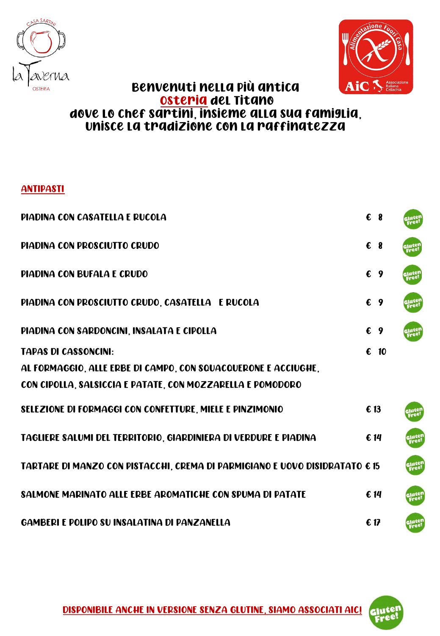



## Benvenuti nella più antica Osteria del Titano dove lo Chef Sartini, insieme alla sua famiglia, Unisce la tradizione con la raffinatezza

## **ANTIPASTI**

| PIADINA CON CASATELLA E RUCOLA                                              |      | $\epsilon$ 8  |               |
|-----------------------------------------------------------------------------|------|---------------|---------------|
| PIADINA CON PROSCIUTTO CRUDO                                                |      | $\epsilon$ 8  |               |
| <b>PIADINA CON BUFALA E CRUDO</b>                                           |      | $\epsilon$ 9  |               |
| PIADINA CON PROSCIUTTO CRUDO, CASATELLA E RUCOLA                            |      | $\epsilon$ 9  |               |
| PIADINA CON SARDONCINI, INSALATA E CIPOLLA                                  |      | $\epsilon$ 9  |               |
| <b>TAPAS DI CASSONCINI:</b>                                                 |      | $\epsilon$ 10 |               |
| AL FORMAGGIO, ALLE ERBE DI CAMPO, CON SQUACQUERONE E ACCIUGHE,              |      |               |               |
| CON CIPOLLA, SALSICCIA E PATATE, CON MOZZARELLA E POMODORO                  |      |               |               |
| SELEZIONE DI FORMAGGI CON CONFETTURE, MIELE E PINZIMONIO                    | € 13 |               |               |
| TAGLIERE SALUMI DEL TERRITORIO, GIARDINIERA DI VERDURE E PIADINA            |      | € 14          | slute<br>Free |
| TARTARE DI MANZO CON PISTACCHI, CREMA DI PARMIGIANO E UOVO DISIDRATATO € 15 |      |               | Glute<br>Free |
| SALMONE MARINATO ALLE ERBE AROMATICHE CON SPUMA DI PATATE                   |      | € 14          |               |
| <b>GAMBERI E POLIPO SU INSALATINA DI PANZANELLA</b>                         | 61   |               |               |

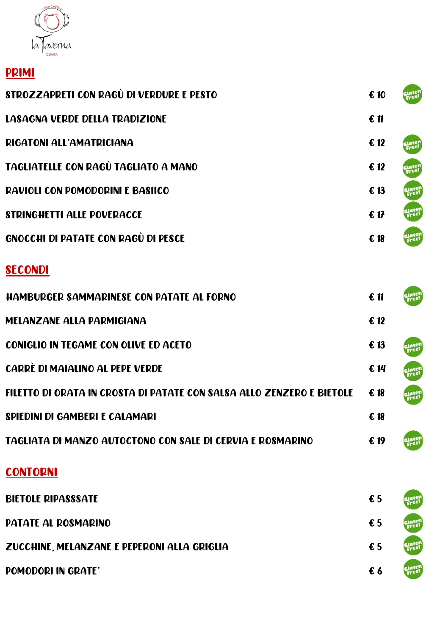

## PRIMI

| STROZZAPRETI CON RAGÙ DI VERDURE E PESTO                              | $\epsilon$ 10              | sjuter<br>Free! |
|-----------------------------------------------------------------------|----------------------------|-----------------|
| <b>LASAGNA VERDE DELLA TRADIZIONE</b>                                 | $\epsilon$ 11              |                 |
| <b>RIGATONI ALL'AMATRICIANA</b>                                       | $\epsilon$ 12              | gjuten<br>Free! |
| TAGLIATELLE CON RAGÙ TAGLIATO A MANO                                  | $\boldsymbol{\epsilon}$ 12 | sjuten<br>Free! |
| <b>RAVIOLI CON POMODORINI E BASIICO</b>                               | $\epsilon$ 13              | sjutel<br>Freel |
| <b>STRINGHETTI ALLE POVERACCE</b>                                     | 61                         | gjuter<br>Free! |
| GNOCCHI DI PATATE CON RAGÙ DI PESCE                                   | $\epsilon$ 18              | Gluten<br>Free! |
| <b>SECONDI</b>                                                        |                            |                 |
| <b>HAMBURGER SAMMARINESE CON PATATE AL FORNO</b>                      | $\epsilon$ 11              |                 |
| <b>MELANZANE ALLA PARMIGIANA</b>                                      | $\epsilon$ 12              |                 |
| <b>CONIGLIO IN TEGAME CON OLIVE ED ACETO</b>                          | € 13                       |                 |
| CARRÈ DI MAIALINO AL PEPE VERDE                                       | $\epsilon$ 14              | jutel<br>Free!  |
| FILETTO DI ORATA IN CROSTA DI PATATE CON SALSA ALLO ZENZERO E BIETOLE | € 18                       | Gluten<br>Free! |
| SPIEDINI DI GAMBERI E CALAMARI                                        | $\epsilon$ 18              |                 |
| TAGLIATA DI MANZO AUTOCTONO CON SALE DI CERVIA E ROSMARINO            | € 19                       |                 |
| <b>CONTORNI</b>                                                       |                            |                 |
| <b>BIETOLE RIPASSSATE</b>                                             | € 5                        |                 |
| <b>PATATE AL ROSMARINO</b>                                            | $\epsilon$ 5               |                 |
| ZUCCHINE, MELANZANE E PEPERONI ALLA GRIGLIA                           | $\epsilon$ 5               |                 |
| POMODORI IN GRATE'                                                    | €6                         | Glutei          |